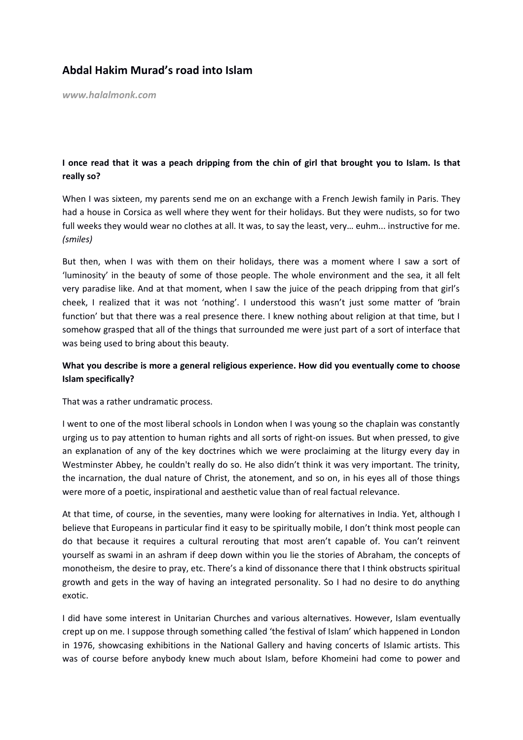## **Abdal Hakim Murad's road into Islam**

*www.halalmonk.com*

## **I once read that it was a peach dripping from the chin of girl that brought you to Islam. Is that really so?**

When I was sixteen, my parents send me on an exchange with a French Jewish family in Paris. They had a house in Corsica as well where they went for their holidays. But they were nudists, so for two full weeks they would wear no clothes at all. It was, to say the least, very... euhm... instructive for me. *(smiles)* 

But then, when I was with them on their holidays, there was a moment where I saw a sort of 'luminosity' in the beauty of some of those people. The whole environment and the sea, it all felt very paradise like. And at that moment, when I saw the juice of the peach dripping from that girl's cheek, I realized that it was not 'nothing'. I understood this wasn't just some matter of 'brain function' but that there was a real presence there. I knew nothing about religion at that time, but I somehow grasped that all of the things that surrounded me were just part of a sort of interface that was being used to bring about this beauty.

## **What you describe is more a general religious experience. How did you eventually come to choose Islam specifically?**

That was a rather undramatic process.

I went to one of the most liberal schools in London when I was young so the chaplain was constantly urging us to pay attention to human rights and all sorts of right-on issues. But when pressed, to give an explanation of any of the key doctrines which we were proclaiming at the liturgy every day in Westminster Abbey, he couldn't really do so. He also didn't think it was very important. The trinity, the incarnation, the dual nature of Christ, the atonement, and so on, in his eyes all of those things were more of a poetic, inspirational and aesthetic value than of real factual relevance.

At that time, of course, in the seventies, many were looking for alternatives in India. Yet, although I believe that Europeans in particular find it easy to be spiritually mobile, I don't think most people can do that because it requires a cultural rerouting that most aren't capable of. You can't reinvent yourself as swami in an ashram if deep down within you lie the stories of Abraham, the concepts of monotheism, the desire to pray, etc. There's a kind of dissonance there that I think obstructs spiritual growth and gets in the way of having an integrated personality. So I had no desire to do anything exotic.

I did have some interest in Unitarian Churches and various alternatives. However, Islam eventually crept up on me. I suppose through something called 'the festival of Islam' which happened in London in 1976, showcasing exhibitions in the National Gallery and having concerts of Islamic artists. This was of course before anybody knew much about Islam, before Khomeini had come to power and